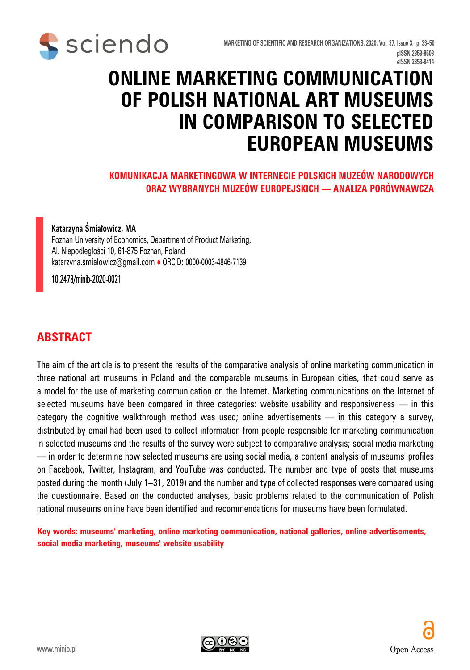

# **ONLINE MARKETING COMMUNICATION OF POLISH NATIONAL ART MUSEUMS IN COMPARISON TO SELECTED EUROPEAN MUSEUMS**

#### **KOMUNIKACJA MARKETINGOWA W INTERNECIE POLSKICH MUZEÓW NARODOWYCH ORAZ WYBRANYCH MUZEÓW EUROPEJSKICH — ANALIZA PORÓWNAWCZA**

#### **Katarzyna Śmiałowicz, MA**

Poznan University of Economics, Department of Product Marketing, Al. Niepodległości 10, 61-875 Poznan, Poland katarzyna.smialowicz@gmail.com · ORCID: 0000-0003-4846-7139

10.2478/minib-2020-0021

#### **ABSTRACT**

The aim of the article is to present the results of the comparative analysis of online marketing communication in three national art museums in Poland and the comparable museums in European cities, that could serve as a model for the use of marketing communication on the Internet. Marketing communications on the Internet of selected museums have been compared in three categories: website usability and responsiveness  $-$  in this category the cognitive walkthrough method was used; online advertisements — in this category a survey, distributed by email had been used to collect information from people responsible for marketing communication in selected museums and the results of the survey were subject to comparative analysis; social media marketing — in order to determine how selected museums are using social media, a content analysis of museums' profiles on Facebook, Twitter, Instagram, and YouTube was conducted. The number and type of posts that museums posted during the month (July 1–31, 2019) and the number and type of collected responses were compared using the questionnaire. Based on the conducted analyses, basic problems related to the communication of Polish national museums online have been identified and recommendations for museums have been formulated.

**Key words: museums' marketing, online marketing communication, national galleries, online advertisements, social media marketing, museums' website usability**

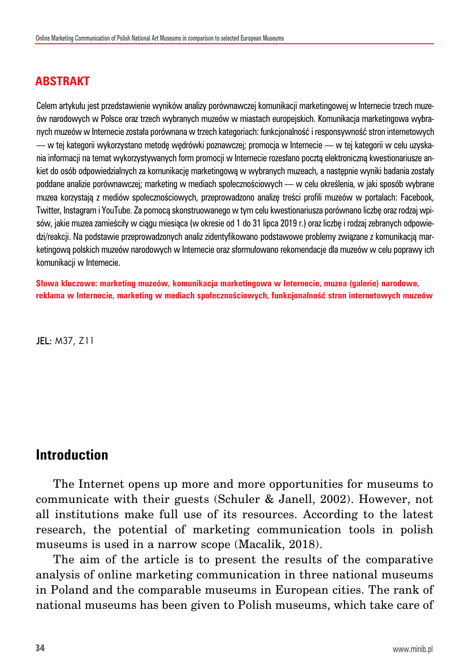#### **ABSTRAKT**

Celem artykułu jest przedstawienie wyników analizy porównawczej komunikacji marketingowej w Internecie trzech muzeów narodowych w Polsce oraz trzech wybranych muzeów w miastach europejskich. Komunikacja marketingowa wybranych muzeów w Internecie została porównana w trzech kategoriach: funkcjonalność i responsywność stron internetowych — w tej kategorii wykorzystano metodę wędrówki poznawczej; promocja w Internecie — w tej kategorii w celu uzyskania informacji na temat wykorzystywanych form promocji w Internecie rozesłano pocztą elektroniczną kwestionariusze ankiet do osób odpowiedzialnych za komunikację marketingową w wybranych muzeach, a następnie wyniki badania zostały poddane analizie porównawczej; marketing w mediach społecznościowych — w celu określenia, w jaki sposób wybrane muzea korzystają z mediów społecznościowych, przeprowadzono analizę treści profili muzeów w portalach: Facebook, Twitter, Instagram i YouTube. Za pomocą skonstruowanego w tym celu kwestionariusza porównano liczbę oraz rodzaj wpisów, jakie muzea zamieściły w ciągu miesiąca (w okresie od 1 do 31 lipca 2019 r.) oraz liczbę i rodzaj zebranych odpowiedzi/reakcji. Na podstawie przeprowadzonych analiz zidentyfikowano podstawowe problemy związane z komunikacją marketingową polskich muzeów narodowych w Internecie oraz sformułowano rekomendacje dla muzeów w celu poprawy ich komunikacji w Internecie.

**Słowa kluczowe: marketing muzeów, komunikacja marketingowa w Internecie, muzea (galerie) narodowe, reklama w Internecie, marketing w mediach społecznościowych, funkcjonalność stron internetowych muzeów**

JEL: M37, Z11

#### **Introduction**

The Internet opens up more and more opportunities for museums to communicate with their guests (Schuler & Janell, 2002). However, not all institutions make full use of its resources. According to the latest research, the potential of marketing communication tools in polish museums is used in a narrow scope (Macalik, 2018).

The aim of the article is to present the results of the comparative analysis of online marketing communication in three national museums in Poland and the comparable museums in European cities. The rank of national museums has been given to Polish museums, which take care of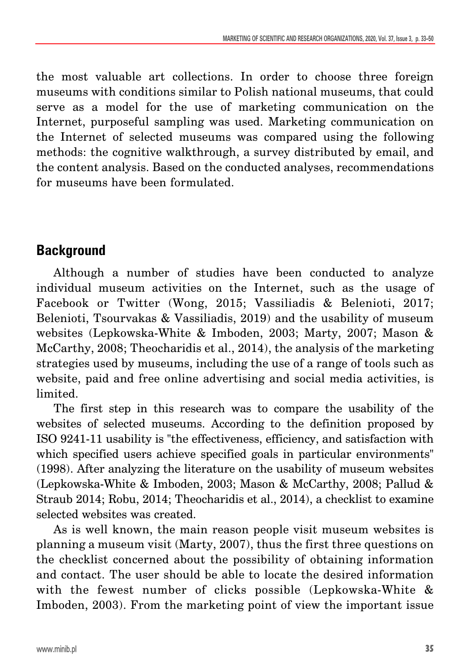the most valuable art collections. In order to choose three foreign museums with conditions similar to Polish national museums, that could serve as a model for the use of marketing communication on the Internet, purposeful sampling was used. Marketing communication on the Internet of selected museums was compared using the following methods: the cognitive walkthrough, a survey distributed by email, and the content analysis. Based on the conducted analyses, recommendations for museums have been formulated.

# **Background**

Although a number of studies have been conducted to analyze individual museum activities on the Internet, such as the usage of Facebook or Twitter (Wong, 2015; Vassiliadis & Belenioti, 2017; Belenioti, Tsourvakas & Vassiliadis, 2019) and the usability of museum websites (Lepkowska-White & Imboden, 2003; Marty, 2007; Mason & McCarthy, 2008; Theocharidis et al., 2014), the analysis of the marketing strategies used by museums, including the use of a range of tools such as website, paid and free online advertising and social media activities, is limited.

The first step in this research was to compare the usability of the websites of selected museums. According to the definition proposed by ISO 9241-11 usability is "the effectiveness, efficiency, and satisfaction with which specified users achieve specified goals in particular environments" (1998). After analyzing the literature on the usability of museum websites (Lepkowska-White & Imboden, 2003; Mason & McCarthy, 2008; Pallud & Straub 2014; Robu, 2014; Theocharidis et al., 2014), a checklist to examine selected websites was created.

As is well known, the main reason people visit museum websites is planning a museum visit (Marty, 2007), thus the first three questions on the checklist concerned about the possibility of obtaining information and contact. The user should be able to locate the desired information with the fewest number of clicks possible (Lepkowska-White & Imboden, 2003). From the marketing point of view the important issue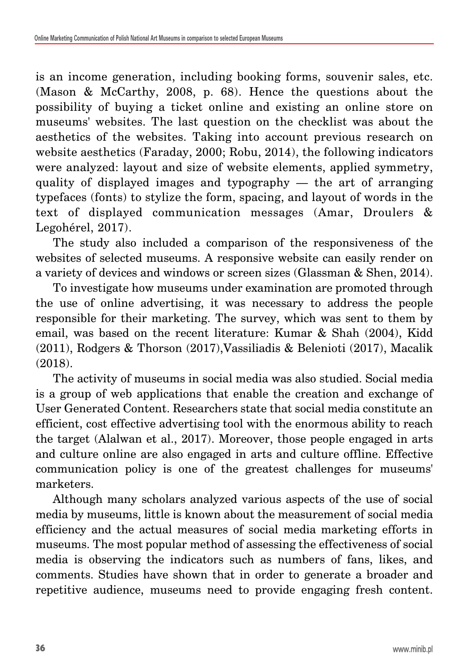is an income generation, including booking forms, souvenir sales, etc. (Mason & McCarthy, 2008, p. 68). Hence the questions about the possibility of buying a ticket online and existing an online store on museums' websites. The last question on the checklist was about the aesthetics of the websites. Taking into account previous research on website aesthetics (Faraday, 2000; Robu, 2014), the following indicators were analyzed: layout and size of website elements, applied symmetry, quality of displayed images and typography — the art of arranging typefaces (fonts) to stylize the form, spacing, and layout of words in the text of displayed communication messages (Amar, Droulers & Legohérel, 2017).

The study also included a comparison of the responsiveness of the websites of selected museums. A responsive website can easily render on a variety of devices and windows or screen sizes (Glassman & Shen, 2014).

To investigate how museums under examination are promoted through the use of online advertising, it was necessary to address the people responsible for their marketing. The survey, which was sent to them by email, was based on the recent literature: Kumar & Shah (2004), Kidd (2011), Rodgers & Thorson (2017),Vassiliadis & Belenioti (2017), Macalik (2018).

The activity of museums in social media was also studied. Social media is a group of web applications that enable the creation and exchange of User Generated Content. Researchers state that social media constitute an efficient, cost effective advertising tool with the enormous ability to reach the target (Alalwan et al., 2017). Moreover, those people engaged in arts and culture online are also engaged in arts and culture offline. Effective communication policy is one of the greatest challenges for museums' marketers.

Although many scholars analyzed various aspects of the use of social media by museums, little is known about the measurement of social media efficiency and the actual measures of social media marketing efforts in museums. The most popular method of assessing the effectiveness of social media is observing the indicators such as numbers of fans, likes, and comments. Studies have shown that in order to generate a broader and repetitive audience, museums need to provide engaging fresh content.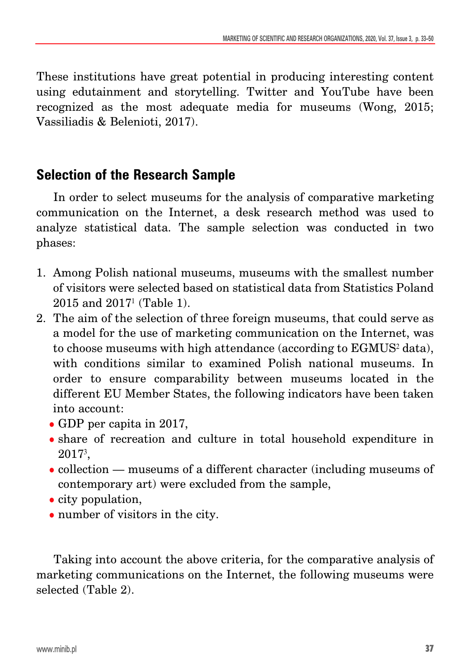These institutions have great potential in producing interesting content using edutainment and storytelling. Twitter and YouTube have been recognized as the most adequate media for museums (Wong, 2015; Vassiliadis & Belenioti, 2017).

# **Selection of the Research Sample**

In order to select museums for the analysis of comparative marketing communication on the Internet, a desk research method was used to analyze statistical data. The sample selection was conducted in two phases:

- 1. Among Polish national museums, museums with the smallest number of visitors were selected based on statistical data from Statistics Poland  $2015$  and  $2017<sup>1</sup>$  (Table 1).
- 2. The aim of the selection of three foreign museums, that could serve as a model for the use of marketing communication on the Internet, was to choose museums with high attendance (according to EGMUS<sup>2</sup> data), with conditions similar to examined Polish national museums. In order to ensure comparability between museums located in the different EU Member States, the following indicators have been taken into account:
	- GDP per capita in 2017,
	- share of recreation and culture in total household expenditure in 20173,
	- collection museums of a different character (including museums of contemporary art) were excluded from the sample,
	- $\bullet$  city population,
	- number of visitors in the city.

Taking into account the above criteria, for the comparative analysis of marketing communications on the Internet, the following museums were selected (Table 2).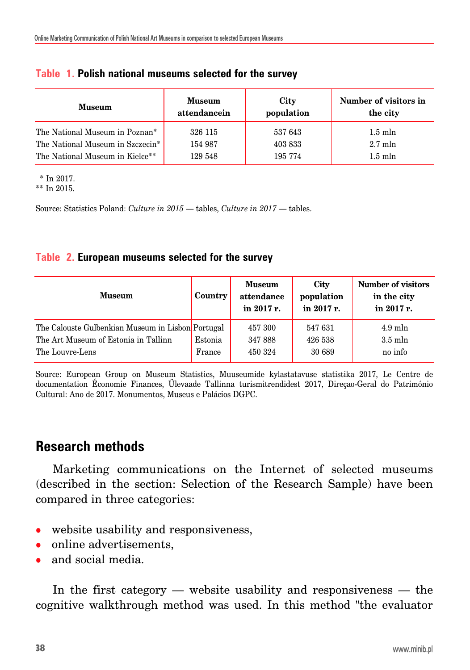| <b>Museum</b>                    | <b>Museum</b> | City       | Number of visitors in |
|----------------------------------|---------------|------------|-----------------------|
|                                  | attendancein  | population | the city              |
| The National Museum in Poznan*   | 326 115       | 537 643    | $1.5$ m $\ln$         |
| The National Museum in Szczecin* | 154 987       | 403 833    | $2.7$ mln             |
| The National Museum in Kielce**  | 129 548       | 195 774    | $1.5$ m $\ln$         |

#### **Table 1. Polish national museums selected for the survey**

\* In 2017.

\*\* In 2015.

Source: Statistics Poland: *Culture in 2015* — tables, *Culture in 2017* — tables.

#### **Table 2. European museums selected for the survey**

| <b>Museum</b>                                     | Country | <b>Museum</b><br>attendance<br>in 2017 r. | <b>City</b><br>population<br>in 2017 r. | <b>Number of visitors</b><br>in the city<br>in 2017 r. |
|---------------------------------------------------|---------|-------------------------------------------|-----------------------------------------|--------------------------------------------------------|
| The Calouste Gulbenkian Museum in Lisbon Portugal |         | 457 300                                   | 547 631                                 | $4.9$ mln                                              |
| The Art Museum of Estonia in Tallinn              | Estonia | 347888                                    | 426 538                                 | $3.5$ m $\ln$                                          |
| The Louvre-Lens                                   | France  | 450 324                                   | 30 689                                  | no info                                                |

Source: European Group on Museum Statistics, Muuseumide kylastatavuse statistika 2017, Le Centre de documentation Économie Finances, Ülevaade Tallinna turismitrendidest 2017, Direçao-Geral do Património Cultural: Ano de 2017. Monumentos, Museus e Palácios DGPC.

### **Research methods**

Marketing communications on the Internet of selected museums (described in the section: Selection of the Research Sample) have been compared in three categories:

- website usability and responsiveness,
- online advertisements,
- and social media.

In the first category — website usability and responsiveness — the cognitive walkthrough method was used. In this method "the evaluator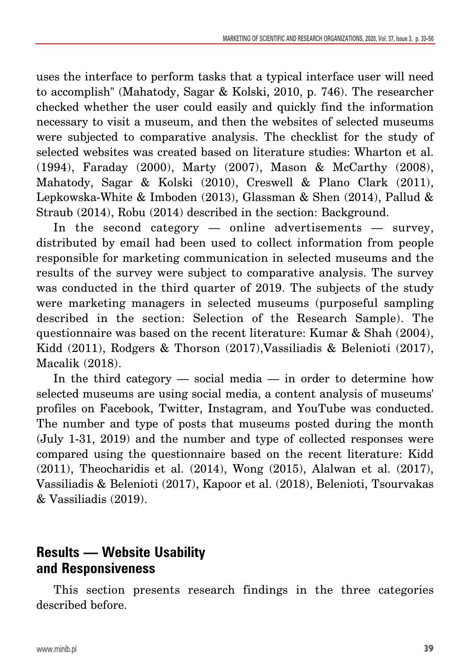uses the interface to perform tasks that a typical interface user will need to accomplish" (Mahatody, Sagar & Kolski, 2010, p. 746). The researcher checked whether the user could easily and quickly find the information necessary to visit a museum, and then the websites of selected museums were subjected to comparative analysis. The checklist for the study of selected websites was created based on literature studies: Wharton et al. (1994), Faraday (2000), Marty (2007), Mason & McCarthy (2008), Mahatody, Sagar & Kolski (2010), Creswell & Plano Clark (2011), Lepkowska-White & Imboden (2013), Glassman & Shen (2014), Pallud & Straub (2014), Robu (2014) described in the section: Background.

In the second category — online advertisements — survey, distributed by email had been used to collect information from people responsible for marketing communication in selected museums and the results of the survey were subject to comparative analysis. The survey was conducted in the third quarter of 2019. The subjects of the study were marketing managers in selected museums (purposeful sampling described in the section: Selection of the Research Sample). The questionnaire was based on the recent literature: Kumar & Shah (2004), Kidd (2011), Rodgers & Thorson (2017),Vassiliadis & Belenioti (2017), Macalik (2018).

In the third category — social media — in order to determine how selected museums are using social media, a content analysis of museums' profiles on Facebook, Twitter, Instagram, and YouTube was conducted. The number and type of posts that museums posted during the month (July 1-31, 2019) and the number and type of collected responses were compared using the questionnaire based on the recent literature: Kidd (2011), Theocharidis et al. (2014), Wong (2015), Alalwan et al. (2017), Vassiliadis & Belenioti (2017), Kapoor et al. (2018), Belenioti, Tsourvakas & Vassiliadis (2019).

### **Results — Website Usability and Responsiveness**

This section presents research findings in the three categories described before.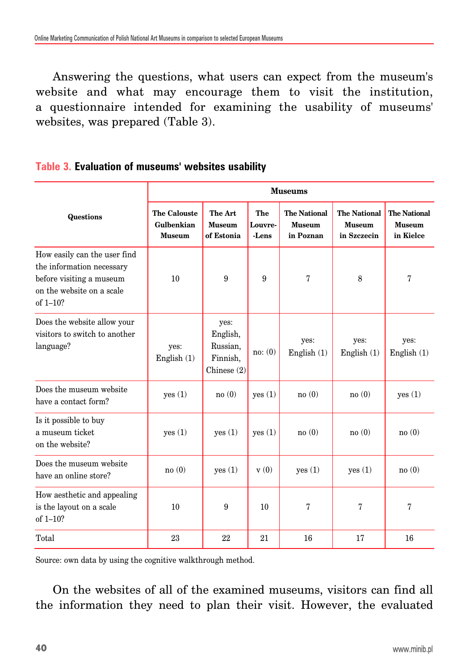Answering the questions, what users can expect from the museum's website and what may encourage them to visit the institution, a questionnaire intended for examining the usability of museums' websites, was prepared (Table 3).

# **Museums The Calouste The Art The The National The National The National Questions Gulbenkian Museum Louvre- Museum Museum Museum Museum of Estonia -Lens in Poznan in Szczecin in Kielce** How easily can the user find the information necessary before visiting a museum 10 9 9 7 8 7 on the website on a scale of 1–10? Does the website allow your  $\vert$  ves: visitors to switch to another  $\parallel$  English, language? yes: yes: Russian, yes: yes: yes: yes: yes: English (1) Finnish, no: (0) English (1) English (1) English (1) Chinese (2) Does the museum website yes (1) no (0) yes (1) no (0) no (0) yes (1) have a contact form? Is it possible to buy a museum ticket yes (1) yes (1) yes (1) no (0) no (0) no (0) on the website? Does the museum website no (0) yes (1) v (0) yes (1) yes (1) no (0) have an online store? How aesthetic and appealing is the layout on a scale 10 9 10 7 7 7

#### **Table 3. Evaluation of museums' websites usability**

Source: own data by using the cognitive walkthrough method.

On the websites of all of the examined museums, visitors can find all the information they need to plan their visit. However, the evaluated

Total 17 | 23 | 22 | 21 | 16 | 17 | 16

of 1–10?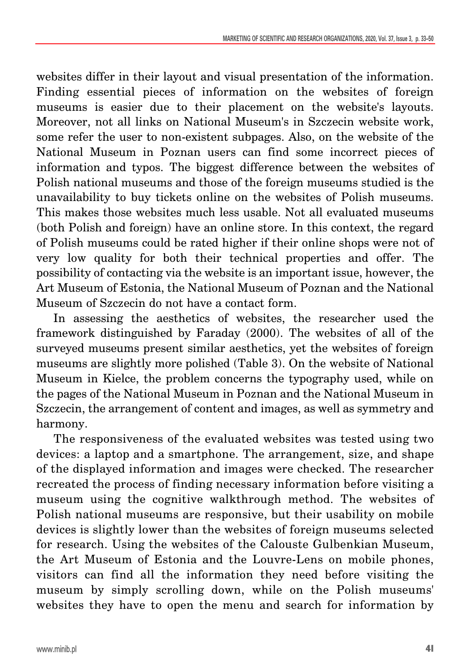websites differ in their layout and visual presentation of the information. Finding essential pieces of information on the websites of foreign museums is easier due to their placement on the website's layouts. Moreover, not all links on National Museum's in Szczecin website work, some refer the user to non-existent subpages. Also, on the website of the National Museum in Poznan users can find some incorrect pieces of information and typos. The biggest difference between the websites of Polish national museums and those of the foreign museums studied is the unavailability to buy tickets online on the websites of Polish museums. This makes those websites much less usable. Not all evaluated museums (both Polish and foreign) have an online store. In this context, the regard of Polish museums could be rated higher if their online shops were not of very low quality for both their technical properties and offer. The possibility of contacting via the website is an important issue, however, the Art Museum of Estonia, the National Museum of Poznan and the National Museum of Szczecin do not have a contact form.

In assessing the aesthetics of websites, the researcher used the framework distinguished by Faraday (2000). The websites of all of the surveyed museums present similar aesthetics, yet the websites of foreign museums are slightly more polished (Table 3). On the website of National Museum in Kielce, the problem concerns the typography used, while on the pages of the National Museum in Poznan and the National Museum in Szczecin, the arrangement of content and images, as well as symmetry and harmony.

The responsiveness of the evaluated websites was tested using two devices: a laptop and a smartphone. The arrangement, size, and shape of the displayed information and images were checked. The researcher recreated the process of finding necessary information before visiting a museum using the cognitive walkthrough method. The websites of Polish national museums are responsive, but their usability on mobile devices is slightly lower than the websites of foreign museums selected for research. Using the websites of the Calouste Gulbenkian Museum, the Art Museum of Estonia and the Louvre-Lens on mobile phones, visitors can find all the information they need before visiting the museum by simply scrolling down, while on the Polish museums' websites they have to open the menu and search for information by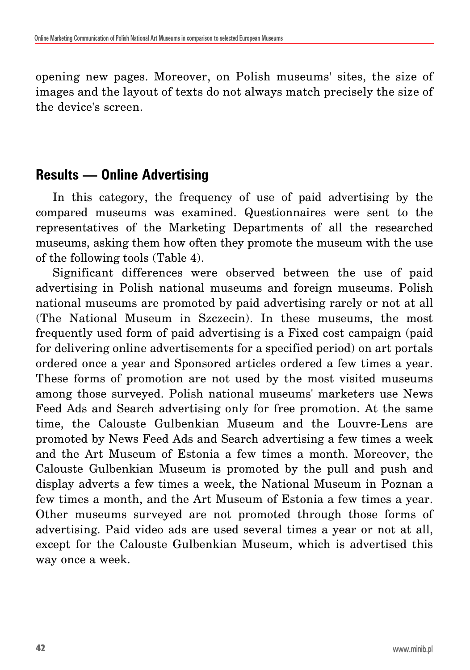opening new pages. Moreover, on Polish museums' sites, the size of images and the layout of texts do not always match precisely the size of the device's screen.

#### **Results — Online Advertising**

In this category, the frequency of use of paid advertising by the compared museums was examined. Questionnaires were sent to the representatives of the Marketing Departments of all the researched museums, asking them how often they promote the museum with the use of the following tools (Table 4).

Significant differences were observed between the use of paid advertising in Polish national museums and foreign museums. Polish national museums are promoted by paid advertising rarely or not at all (The National Museum in Szczecin). In these museums, the most frequently used form of paid advertising is a Fixed cost campaign (paid for delivering online advertisements for a specified period) on art portals ordered once a year and Sponsored articles ordered a few times a year. These forms of promotion are not used by the most visited museums among those surveyed. Polish national museums' marketers use News Feed Ads and Search advertising only for free promotion. At the same time, the Calouste Gulbenkian Museum and the Louvre-Lens are promoted by News Feed Ads and Search advertising a few times a week and the Art Museum of Estonia a few times a month. Moreover, the Calouste Gulbenkian Museum is promoted by the pull and push and display adverts a few times a week, the National Museum in Poznan a few times a month, and the Art Museum of Estonia a few times a year. Other museums surveyed are not promoted through those forms of advertising. Paid video ads are used several times a year or not at all, except for the Calouste Gulbenkian Museum, which is advertised this way once a week.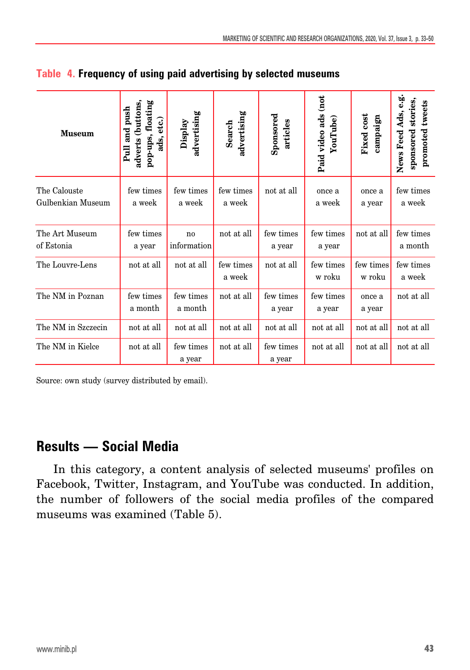| <b>Museum</b>                     | pop-ups, floating<br>adverts (buttons,<br>Pull and push<br>ads, etc.) | advertising<br>Display | advertising<br>Search | Sponsored<br>articles | Paid video ads (not<br>YouTube) | Fixed cost<br>campaign | News Feed Ads, e.g.<br>sponsored stories,<br>promoted tweets |
|-----------------------------------|-----------------------------------------------------------------------|------------------------|-----------------------|-----------------------|---------------------------------|------------------------|--------------------------------------------------------------|
| The Calouste<br>Gulbenkian Museum | few times<br>a week                                                   | few times<br>a week    | few times<br>a week   | not at all            | once a<br>a week                | once a<br>a year       | few times<br>a week                                          |
| The Art Museum<br>of Estonia      | few times<br>a year                                                   | no<br>information      | not at all            | few times<br>a year   | few times<br>a year             | not at all             | few times<br>a month                                         |
| The Louvre-Lens                   | not at all                                                            | not at all             | few times<br>a week   | not at all            | few times<br>w roku             | few times<br>w roku    | few times<br>a week                                          |
| The NM in Poznan                  | few times<br>a month                                                  | few times<br>a month   | not at all            | few times<br>a year   | few times<br>a year             | once a<br>a year       | not at all                                                   |
| The NM in Szczecin                | not at all                                                            | not at all             | not at all            | not at all            | not at all                      | not at all             | not at all                                                   |
| The NM in Kielce                  | not at all                                                            | few times<br>a year    | not at all            | few times<br>a year   | not at all                      | not at all             | not at all                                                   |

|  | Table 4. Frequency of using paid advertising by selected museums |  |  |  |  |
|--|------------------------------------------------------------------|--|--|--|--|
|--|------------------------------------------------------------------|--|--|--|--|

Source: own study (survey distributed by email).

### **Results — Social Media**

In this category, a content analysis of selected museums' profiles on Facebook, Twitter, Instagram, and YouTube was conducted. In addition, the number of followers of the social media profiles of the compared museums was examined (Table 5).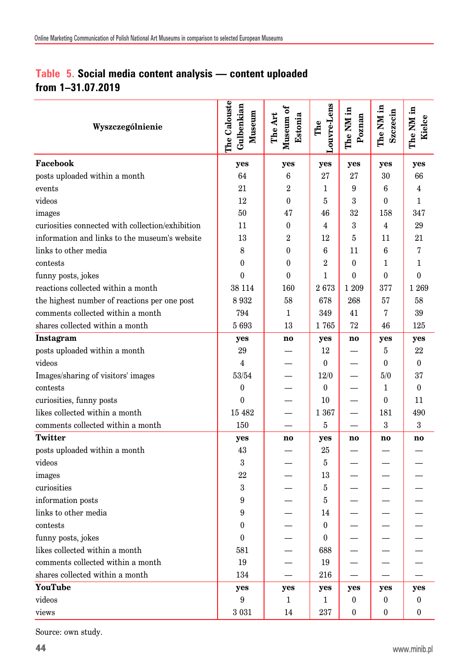#### **Table 5. Social media content analysis — content uploaded from 1–31.07.2019**

| Wyszczególnienie                                 | The Calouste<br>Gulbenkian<br>Museum | Museum of<br>The Art<br>Estonia | Louvre-Lens<br>The | The NM in<br>Poznan | The NM in<br>Szczecin | The NM in<br>Kielce |
|--------------------------------------------------|--------------------------------------|---------------------------------|--------------------|---------------------|-----------------------|---------------------|
| Facebook                                         | yes                                  | yes                             | yes                | yes                 | yes                   | yes                 |
| posts uploaded within a month                    | 64                                   | 6                               | 27                 | 27                  | 30                    | 66                  |
| events                                           | 21                                   | $\overline{2}$                  | 1                  | 9                   | 6                     | 4                   |
| videos                                           | 12                                   | $\overline{0}$                  | 5                  | 3                   | $\theta$              | $\mathbf{1}$        |
| images                                           | 50                                   | 47                              | 46                 | 32                  | 158                   | 347                 |
| curiosities connected with collection/exhibition | 11                                   | $\mathbf{0}$                    | 4                  | 3                   | $\overline{4}$        | 29                  |
| information and links to the museum's website    | 13                                   | $\overline{2}$                  | 12                 | $\bf 5$             | 11                    | 21                  |
| links to other media                             | 8                                    | $\overline{0}$                  | $6\phantom{1}6$    | 11                  | 6                     | 7                   |
| contests                                         | $\mathbf{0}$                         | $\overline{0}$                  | $\overline{2}$     | $\mathbf{0}$        | $\mathbf{1}$          | 1                   |
| funny posts, jokes                               | $\Omega$                             | $\Omega$                        | $\mathbf 1$        | $\theta$            | $\Omega$              | $\Omega$            |
| reactions collected within a month               | 38 114                               | 160                             | 2673               | 1 209               | 377                   | 1 2 6 9             |
| the highest number of reactions per one post     | 8932                                 | 58                              | 678                | 268                 | 57                    | 58                  |
| comments collected within a month                | 794                                  | $\mathbf{1}$                    | 349                | 41                  | 7                     | 39                  |
| shares collected within a month                  | 5693                                 | 13                              | 1765               | 72                  | 46                    | 125                 |
| Instagram                                        | yes                                  | no                              | yes                | no                  | yes                   | yes                 |
| posts uploaded within a month                    | 29                                   |                                 | 12                 |                     | 5                     | 22                  |
| videos                                           | $\overline{4}$                       |                                 | $\bf{0}$           |                     | $\boldsymbol{0}$      | $\theta$            |
| Images/sharing of visitors' images               | 53/54                                |                                 | 12/0               |                     | 5/0                   | 37                  |
| contests                                         | $\boldsymbol{0}$                     |                                 | $\bf{0}$           |                     | $\mathbf{1}$          | $\theta$            |
| curiosities, funny posts                         | $\theta$                             |                                 | 10                 |                     | $\theta$              | 11                  |
| likes collected within a month                   | 15 482                               |                                 | 1 3 6 7            |                     | 181                   | 490                 |
| comments collected within a month                | 150                                  |                                 | $\overline{5}$     |                     | 3                     | 3                   |
| <b>Twitter</b>                                   | yes                                  | no                              | yes                | no.                 | no                    | no                  |
| posts uploaded within a month                    | 43                                   |                                 | 25                 |                     |                       |                     |
| videos                                           | 3                                    |                                 | 5                  |                     |                       |                     |
| images                                           | 22                                   |                                 | 13                 |                     |                       |                     |
| curiosities                                      | $\,3$                                |                                 | 5                  |                     |                       |                     |
| information posts                                | 9                                    |                                 | 5                  |                     |                       |                     |
| links to other media                             | 9                                    |                                 | 14                 |                     |                       |                     |
| contests                                         | $\theta$                             |                                 | $\boldsymbol{0}$   |                     |                       |                     |
| funny posts, jokes                               | $\theta$                             |                                 | $\theta$           |                     |                       |                     |
| likes collected within a month                   | 581                                  |                                 | 688                |                     |                       |                     |
| comments collected within a month                | 19                                   |                                 | 19                 |                     |                       |                     |
| shares collected within a month                  | 134                                  |                                 | 216                |                     |                       |                     |
| YouTube                                          | yes                                  | yes                             | yes                | yes                 | yes                   | yes                 |
| videos                                           | 9                                    | $\mathbf{1}$                    | 1                  | 0                   | $\bf{0}$              | $\bf{0}$            |
| views                                            | 3 0 3 1                              | 14                              | 237                | $\theta$            | $\theta$              | $\theta$            |

Source: own study.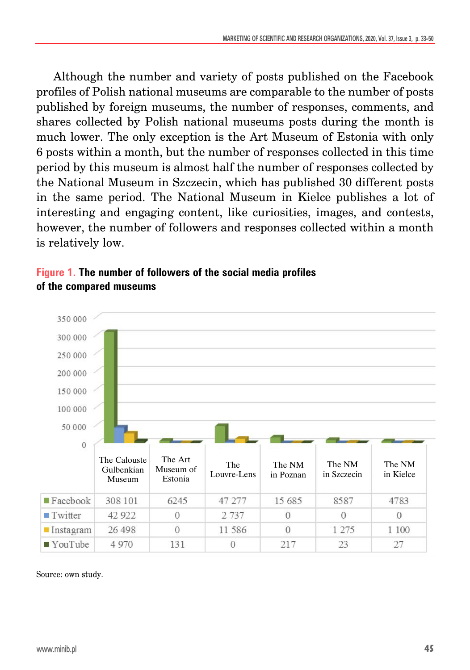Although the number and variety of posts published on the Facebook profiles of Polish national museums are comparable to the number of posts published by foreign museums, the number of responses, comments, and shares collected by Polish national museums posts during the month is much lower. The only exception is the Art Museum of Estonia with only 6 posts within a month, but the number of responses collected in this time period by this museum is almost half the number of responses collected by the National Museum in Szczecin, which has published 30 different posts in the same period. The National Museum in Kielce publishes a lot of interesting and engaging content, like curiosities, images, and contests, however, the number of followers and responses collected within a month is relatively low.



#### **Figure 1. The number of followers of the social media profiles of the compared museums**

Source: own study.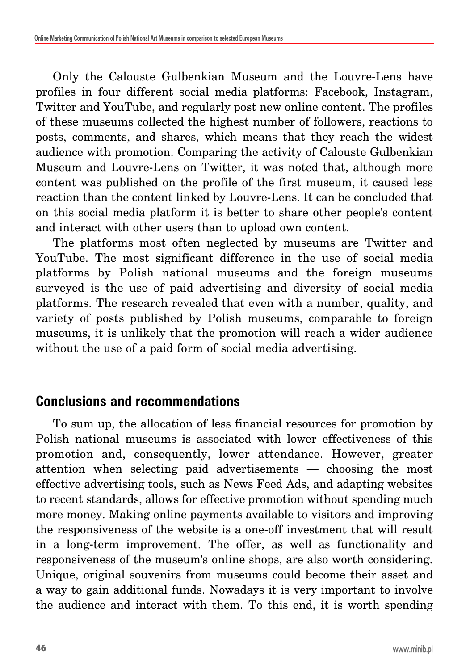Only the Calouste Gulbenkian Museum and the Louvre-Lens have profiles in four different social media platforms: Facebook, Instagram, Twitter and YouTube, and regularly post new online content. The profiles of these museums collected the highest number of followers, reactions to posts, comments, and shares, which means that they reach the widest audience with promotion. Comparing the activity of Calouste Gulbenkian Museum and Louvre-Lens on Twitter, it was noted that, although more content was published on the profile of the first museum, it caused less reaction than the content linked by Louvre-Lens. It can be concluded that on this social media platform it is better to share other people's content and interact with other users than to upload own content.

The platforms most often neglected by museums are Twitter and YouTube. The most significant difference in the use of social media platforms by Polish national museums and the foreign museums surveyed is the use of paid advertising and diversity of social media platforms. The research revealed that even with a number, quality, and variety of posts published by Polish museums, comparable to foreign museums, it is unlikely that the promotion will reach a wider audience without the use of a paid form of social media advertising.

### **Conclusions and recommendations**

To sum up, the allocation of less financial resources for promotion by Polish national museums is associated with lower effectiveness of this promotion and, consequently, lower attendance. However, greater attention when selecting paid advertisements — choosing the most effective advertising tools, such as News Feed Ads, and adapting websites to recent standards, allows for effective promotion without spending much more money. Making online payments available to visitors and improving the responsiveness of the website is a one-off investment that will result in a long-term improvement. The offer, as well as functionality and responsiveness of the museum's online shops, are also worth considering. Unique, original souvenirs from museums could become their asset and a way to gain additional funds. Nowadays it is very important to involve the audience and interact with them. To this end, it is worth spending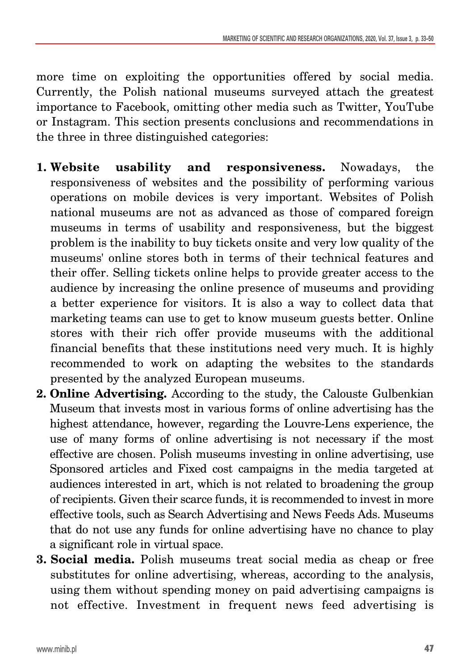more time on exploiting the opportunities offered by social media. Currently, the Polish national museums surveyed attach the greatest importance to Facebook, omitting other media such as Twitter, YouTube or Instagram. This section presents conclusions and recommendations in the three in three distinguished categories:

- **1. Website usability and responsiveness.** Nowadays, the responsiveness of websites and the possibility of performing various operations on mobile devices is very important. Websites of Polish national museums are not as advanced as those of compared foreign museums in terms of usability and responsiveness, but the biggest problem is the inability to buy tickets onsite and very low quality of the museums' online stores both in terms of their technical features and their offer. Selling tickets online helps to provide greater access to the audience by increasing the online presence of museums and providing a better experience for visitors. It is also a way to collect data that marketing teams can use to get to know museum guests better. Online stores with their rich offer provide museums with the additional financial benefits that these institutions need very much. It is highly recommended to work on adapting the websites to the standards presented by the analyzed European museums.
- **2. Online Advertising.** According to the study, the Calouste Gulbenkian Museum that invests most in various forms of online advertising has the highest attendance, however, regarding the Louvre-Lens experience, the use of many forms of online advertising is not necessary if the most effective are chosen. Polish museums investing in online advertising, use Sponsored articles and Fixed cost campaigns in the media targeted at audiences interested in art, which is not related to broadening the group of recipients. Given their scarce funds, it is recommended to invest in more effective tools, such as Search Advertising and News Feeds Ads. Museums that do not use any funds for online advertising have no chance to play a significant role in virtual space.
- **3. Social media.** Polish museums treat social media as cheap or free substitutes for online advertising, whereas, according to the analysis, using them without spending money on paid advertising campaigns is not effective. Investment in frequent news feed advertising is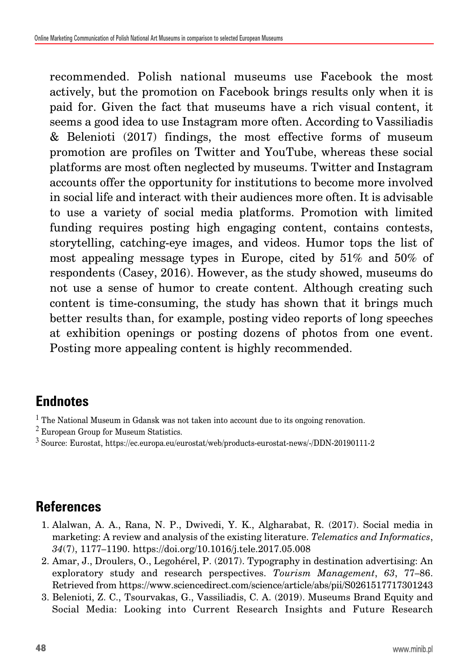recommended. Polish national museums use Facebook the most actively, but the promotion on Facebook brings results only when it is paid for. Given the fact that museums have a rich visual content, it seems a good idea to use Instagram more often. According to Vassiliadis & Belenioti (2017) findings, the most effective forms of museum promotion are profiles on Twitter and YouTube, whereas these social platforms are most often neglected by museums. Twitter and Instagram accounts offer the opportunity for institutions to become more involved in social life and interact with their audiences more often. It is advisable to use a variety of social media platforms. Promotion with limited funding requires posting high engaging content, contains contests, storytelling, catching-eye images, and videos. Humor tops the list of most appealing message types in Europe, cited by 51% and 50% of respondents (Casey, 2016). However, as the study showed, museums do not use a sense of humor to create content. Although creating such content is time-consuming, the study has shown that it brings much better results than, for example, posting video reports of long speeches at exhibition openings or posting dozens of photos from one event. Posting more appealing content is highly recommended.

### **Endnotes**

- $<sup>1</sup>$  The National Museum in Gdansk was not taken into account due to its ongoing renovation.</sup>
- <sup>2</sup> European Group for Museum Statistics.
- <sup>3</sup> Source: Eurostat, https://ec.europa.eu/eurostat/web/products-eurostat-news/-/DDN-20190111-2

# **References**

- 1. Alalwan, A. A., Rana, N. P., Dwivedi, Y. K., Algharabat, R. (2017). Social media in marketing: A review and analysis of the existing literature. *Telematics and Informatics*, *34*(7), 1177–1190. https://doi.org/10.1016/j.tele.2017.05.008
- 2. Amar, J., Droulers, O., Legohérel, P. (2017). Typography in destination advertising: An exploratory study and research perspectives. *Tourism Management*, *63*, 77–86. Retrieved from https://www.sciencedirect.com/science/article/abs/pii/S0261517717301243
- 3. Belenioti, Z. C., Tsourvakas, G., Vassiliadis, C. A. (2019). Museums Brand Equity and Social Media: Looking into Current Research Insights and Future Research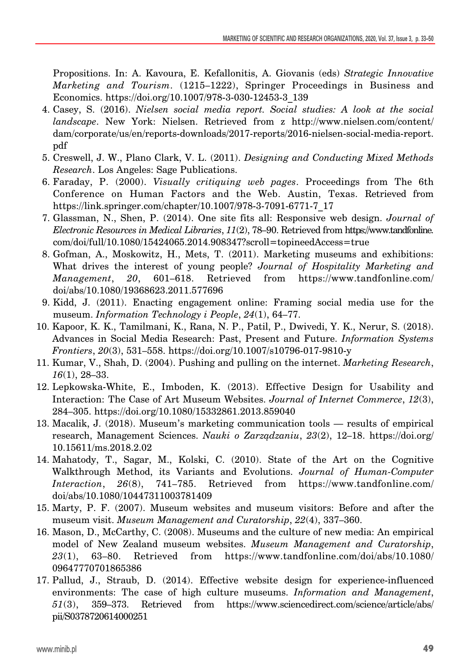Propositions. In: A. Kavoura, E. Kefallonitis, A. Giovanis (eds) *Strategic Innovative Marketing and Tourism*. (1215–1222), Springer Proceedings in Business and Economics. https://doi.org/10.1007/978-3-030-12453-3\_139

- 4. Casey, S. (2016). *Nielsen social media report. Social studies: A look at the social landscape*. New York: Nielsen. Retrieved from z http://www.nielsen.com/content/ dam/corporate/us/en/reports-downloads/2017-reports/2016-nielsen-social-media-report. pdf
- 5. Creswell, J. W., Plano Clark, V. L. (2011). *Designing and Conducting Mixed Methods Research*. Los Angeles: Sage Publications.
- 6. Faraday, P. (2000). *Visually critiquing web pages*. Proceedings from The 6th Conference on Human Factors and the Web. Austin, Texas. Retrieved from https://link.springer.com/chapter/10.1007/978-3-7091-6771-7\_17
- 7. Glassman, N., Shen, P. (2014). One site fits all: Responsive web design. *Journal of Electronic Resources in Medical Libraries*, *11*(2), 78–90. Retrieved from https://www.tandfonline. com/doi/full/10.1080/15424065.2014.908347?scroll=topineedAccess=true
- 8. Gofman, A., Moskowitz, H., Mets, T. (2011). Marketing museums and exhibitions: What drives the interest of young people? *Journal of Hospitality Marketing and Management*, *20*, 601–618. Retrieved from https://www.tandfonline.com/ doi/abs/10.1080/19368623.2011.577696
- 9. Kidd, J. (2011). Enacting engagement online: Framing social media use for the museum. *Information Technology i People*, *24*(1), 64–77.
- 10. Kapoor, K. K., Tamilmani, K., Rana, N. P., Patil, P., Dwivedi, Y. K., Nerur, S. (2018). Advances in Social Media Research: Past, Present and Future. *Information Systems Frontiers*, *20*(3), 531–558. https://doi.org/10.1007/s10796-017-9810-y
- 11. Kumar, V., Shah, D. (2004). Pushing and pulling on the internet. *Marketing Research*, *16*(1), 28–33.
- 12. Lepkowska-White, E., Imboden, K. (2013). Effective Design for Usability and Interaction: The Case of Art Museum Websites. *Journal of Internet Commerce*, *12*(3), 284–305. https://doi.org/10.1080/15332861.2013.859040
- 13. Macalik, J. (2018). Museum's marketing communication tools results of empirical research, Management Sciences. *Nauki o Zarządzaniu*, *23*(2), 12–18. https://doi.org/ 10.15611/ms.2018.2.02
- 14. Mahatody, T., Sagar, M., Kolski, C. (2010). State of the Art on the Cognitive Walkthrough Method, its Variants and Evolutions. *Journal of Human-Computer Interaction*, *26*(8), 741–785. Retrieved from https://www.tandfonline.com/ doi/abs/10.1080/10447311003781409
- 15. Marty, P. F. (2007). Museum websites and museum visitors: Before and after the museum visit. *Museum Management and Curatorship*, *22*(4), 337–360.
- 16. Mason, D., McCarthy, C. (2008). Museums and the culture of new media: An empirical model of New Zealand museum websites. *Museum Management and Curatorship*, *23*(1), 63–80. Retrieved from https://www.tandfonline.com/doi/abs/10.1080/ 09647770701865386
- 17. Pallud, J., Straub, D. (2014). Effective website design for experience-influenced environments: The case of high culture museums. *Information and Management*, *51*(3), 359–373. Retrieved from https://www.sciencedirect.com/science/article/abs/ pii/S0378720614000251